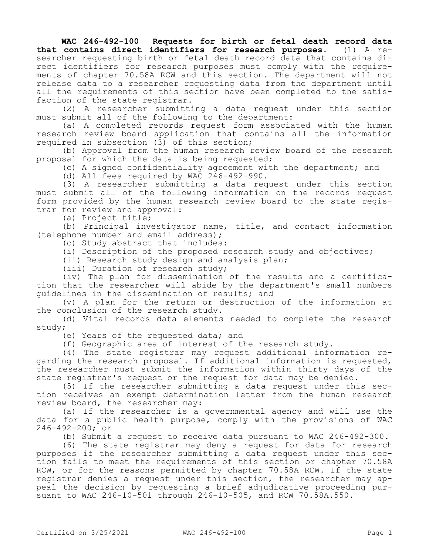**WAC 246-492-100 Requests for birth or fetal death record data that contains direct identifiers for research purposes.** (1) A researcher requesting birth or fetal death record data that contains direct identifiers for research purposes must comply with the requirements of chapter 70.58A RCW and this section. The department will not release data to a researcher requesting data from the department until all the requirements of this section have been completed to the satisfaction of the state registrar.

(2) A researcher submitting a data request under this section must submit all of the following to the department:

(a) A completed records request form associated with the human research review board application that contains all the information required in subsection (3) of this section;

(b) Approval from the human research review board of the research proposal for which the data is being requested;

(c) A signed confidentiality agreement with the department; and

(d) All fees required by WAC 246-492-990.

(3) A researcher submitting a data request under this section must submit all of the following information on the records request form provided by the human research review board to the state registrar for review and approval:

(a) Project title;

(b) Principal investigator name, title, and contact information (telephone number and email address);

(c) Study abstract that includes:

(i) Description of the proposed research study and objectives;

(ii) Research study design and analysis plan;

(iii) Duration of research study;

(iv) The plan for dissemination of the results and a certification that the researcher will abide by the department's small numbers guidelines in the dissemination of results; and

(v) A plan for the return or destruction of the information at the conclusion of the research study.

(d) Vital records data elements needed to complete the research study;

(e) Years of the requested data; and

(f) Geographic area of interest of the research study.

(4) The state registrar may request additional information regarding the research proposal. If additional information is requested, the researcher must submit the information within thirty days of the state registrar's request or the request for data may be denied.

(5) If the researcher submitting a data request under this section receives an exempt determination letter from the human research review board, the researcher may:

(a) If the researcher is a governmental agency and will use the data for a public health purpose, comply with the provisions of WAC 246-492-200; or

(b) Submit a request to receive data pursuant to WAC 246-492-300.

(6) The state registrar may deny a request for data for research purposes if the researcher submitting a data request under this section fails to meet the requirements of this section or chapter 70.58A RCW, or for the reasons permitted by chapter 70.58A RCW. If the state registrar denies a request under this section, the researcher may appeal the decision by requesting a brief adjudicative proceeding pursuant to WAC 246-10-501 through 246-10-505, and RCW 70.58A.550.